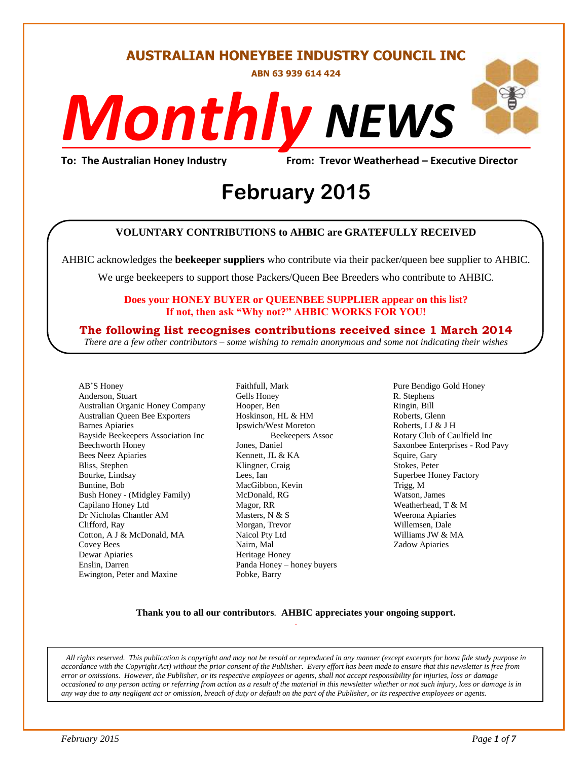#### **AUSTRALIAN HONEYBEE INDUSTRY COUNCIL INC**

**ABN 63 939 614 424**

# *NEWS Monthly*

**To: The Australian Honey Industry From: Trevor Weatherhead – Executive Director**

## *DS* **February 2015**

#### **VOLUNTARY CONTRIBUTIONS to AHBIC are GRATEFULLY RECEIVED**

AHBIC acknowledges the **beekeeper suppliers** who contribute via their packer/queen bee supplier to AHBIC.

We urge beekeepers to support those Packers/Queen Bee Breeders who contribute to AHBIC.

#### **Does your HONEY BUYER or QUEENBEE SUPPLIER appear on this list? If not, then ask "Why not?" AHBIC WORKS FOR YOU!**

**The following list recognises contributions received since 1 March 2014**

*There are a few other contributors – some wishing to remain anonymous and some not indicating their wishes*

AB'S Honey Anderson, Stuart Australian Organic Honey Company Australian Queen Bee Exporters Barnes Apiaries Bayside Beekeepers Association Inc Beechworth Honey Bees Neez Apiaries Bliss, Stephen Bourke, Lindsay Buntine, Bob Bush Honey - (Midgley Family) Capilano Honey Ltd Dr Nicholas Chantler AM Clifford, Ray Cotton, A J & McDonald, MA Covey Bees Dewar Apiaries Enslin, Darren Ewington, Peter and Maxine

Faithfull, Mark Gells Honey Hooper, Ben Hoskinson, HL & HM Ipswich/West Moreton Beekeepers Assoc Jones, Daniel Kennett, JL & KA Klingner, Craig Lees, Ian MacGibbon, Kevin McDonald, RG Magor, RR Masters, N & S Morgan, Trevor Naicol Pty Ltd Nairn, Mal Heritage Honey Panda Honey – honey buyers Pobke, Barry

Pure Bendigo Gold Honey R. Stephens Ringin, Bill Roberts, Glenn Roberts, I J & J H Rotary Club of Caulfield Inc Saxonbee Enterprises - Rod Pavy Squire, Gary Stokes, Peter Superbee Honey Factory Trigg, M Watson, James Weatherhead, T & M Weerona Apiaries Willemsen, Dale Williams JW & MA Zadow Apiaries

#### **Thank you to all our contributors***.* **AHBIC appreciates your ongoing support.** .

*All rights reserved. This publication is copyright and may not be resold or reproduced in any manner (except excerpts for bona fide study purpose in accordance with the Copyright Act) without the prior consent of the Publisher. Every effort has been made to ensure that this newsletter is free from error or omissions. However, the Publisher, or its respective employees or agents, shall not accept responsibility for injuries, loss or damage occasioned to any person acting or referring from action as a result of the material in this newsletter whether or not such injury, loss or damage is in any way due to any negligent act or omission, breach of duty or default on the part of the Publisher, or its respective employees or agents.*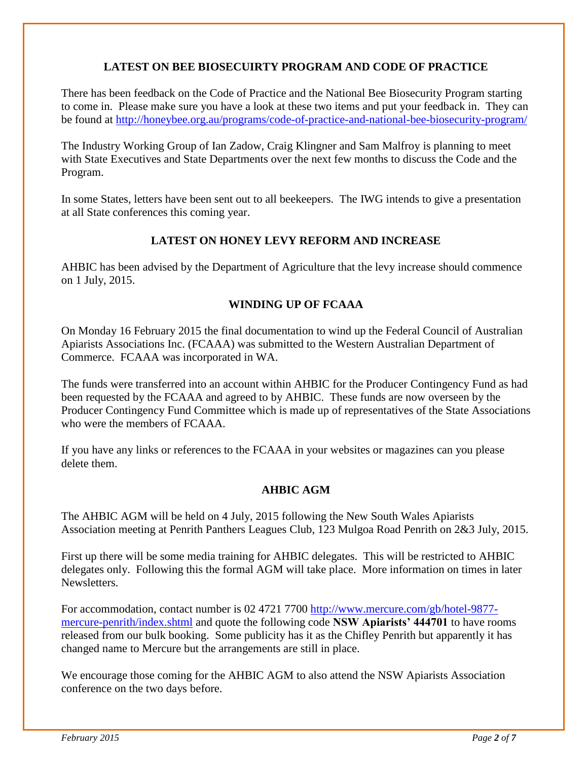#### **LATEST ON BEE BIOSECUIRTY PROGRAM AND CODE OF PRACTICE**

There has been feedback on the Code of Practice and the National Bee Biosecurity Program starting to come in. Please make sure you have a look at these two items and put your feedback in. They can be found at<http://honeybee.org.au/programs/code-of-practice-and-national-bee-biosecurity-program/>

The Industry Working Group of Ian Zadow, Craig Klingner and Sam Malfroy is planning to meet with State Executives and State Departments over the next few months to discuss the Code and the Program.

In some States, letters have been sent out to all beekeepers. The IWG intends to give a presentation at all State conferences this coming year.

#### **LATEST ON HONEY LEVY REFORM AND INCREASE**

AHBIC has been advised by the Department of Agriculture that the levy increase should commence on 1 July, 2015.

#### **WINDING UP OF FCAAA**

On Monday 16 February 2015 the final documentation to wind up the Federal Council of Australian Apiarists Associations Inc. (FCAAA) was submitted to the Western Australian Department of Commerce. FCAAA was incorporated in WA.

The funds were transferred into an account within AHBIC for the Producer Contingency Fund as had been requested by the FCAAA and agreed to by AHBIC. These funds are now overseen by the Producer Contingency Fund Committee which is made up of representatives of the State Associations who were the members of FCAAA.

If you have any links or references to the FCAAA in your websites or magazines can you please delete them.

#### **AHBIC AGM**

The AHBIC AGM will be held on 4 July, 2015 following the New South Wales Apiarists Association meeting at Penrith Panthers Leagues Club, 123 Mulgoa Road Penrith on 2&3 July, 2015.

First up there will be some media training for AHBIC delegates. This will be restricted to AHBIC delegates only. Following this the formal AGM will take place. More information on times in later Newsletters.

For accommodation, contact number is 02 4721 7700 [http://www.mercure.com/gb/hotel-9877](http://www.mercure.com/gb/hotel-9877-mercure-penrith/index.shtml) [mercure-penrith/index.shtml](http://www.mercure.com/gb/hotel-9877-mercure-penrith/index.shtml) and quote the following code **NSW Apiarists' 444701** to have rooms released from our bulk booking. Some publicity has it as the Chifley Penrith but apparently it has changed name to Mercure but the arrangements are still in place.

We encourage those coming for the AHBIC AGM to also attend the NSW Apiarists Association conference on the two days before.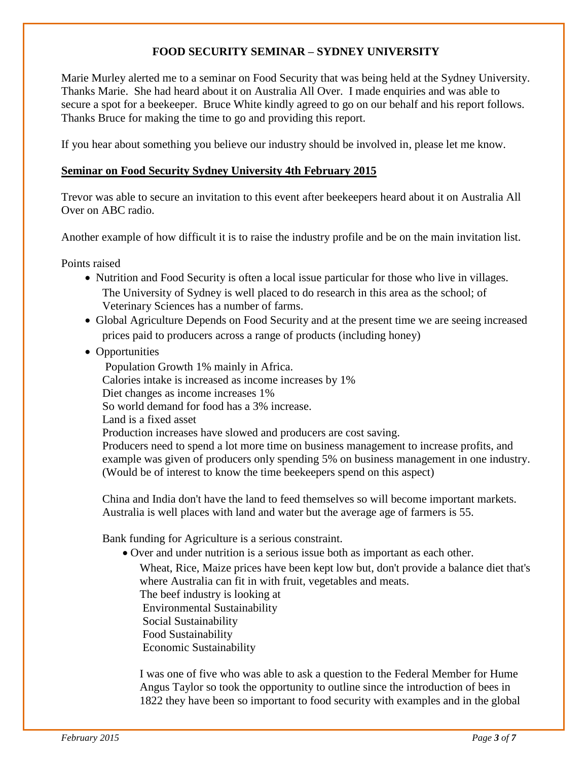#### **FOOD SECURITY SEMINAR – SYDNEY UNIVERSITY**

Marie Murley alerted me to a seminar on Food Security that was being held at the Sydney University. Thanks Marie. She had heard about it on Australia All Over. I made enquiries and was able to secure a spot for a beekeeper. Bruce White kindly agreed to go on our behalf and his report follows. Thanks Bruce for making the time to go and providing this report.

If you hear about something you believe our industry should be involved in, please let me know.

#### **Seminar on Food Security Sydney University 4th February 2015**

Trevor was able to secure an invitation to this event after beekeepers heard about it on Australia All Over on ABC radio.

Another example of how difficult it is to raise the industry profile and be on the main invitation list.

Points raised

- Nutrition and Food Security is often a local issue particular for those who live in villages. The University of Sydney is well placed to do research in this area as the school; of Veterinary Sciences has a number of farms.
- Global Agriculture Depends on Food Security and at the present time we are seeing increased prices paid to producers across a range of products (including honey)
- Opportunities

Population Growth 1% mainly in Africa.

Calories intake is increased as income increases by 1%

Diet changes as income increases 1%

So world demand for food has a 3% increase.

Land is a fixed asset

Production increases have slowed and producers are cost saving.

Producers need to spend a lot more time on business management to increase profits, and example was given of producers only spending 5% on business management in one industry. (Would be of interest to know the time beekeepers spend on this aspect)

China and India don't have the land to feed themselves so will become important markets. Australia is well places with land and water but the average age of farmers is 55.

Bank funding for Agriculture is a serious constraint.

Over and under nutrition is a serious issue both as important as each other.

Wheat, Rice, Maize prices have been kept low but, don't provide a balance diet that's where Australia can fit in with fruit, vegetables and meats.

The beef industry is looking at

Environmental Sustainability

Social Sustainability

Food Sustainability

Economic Sustainability

I was one of five who was able to ask a question to the Federal Member for Hume Angus Taylor so took the opportunity to outline since the introduction of bees in 1822 they have been so important to food security with examples and in the global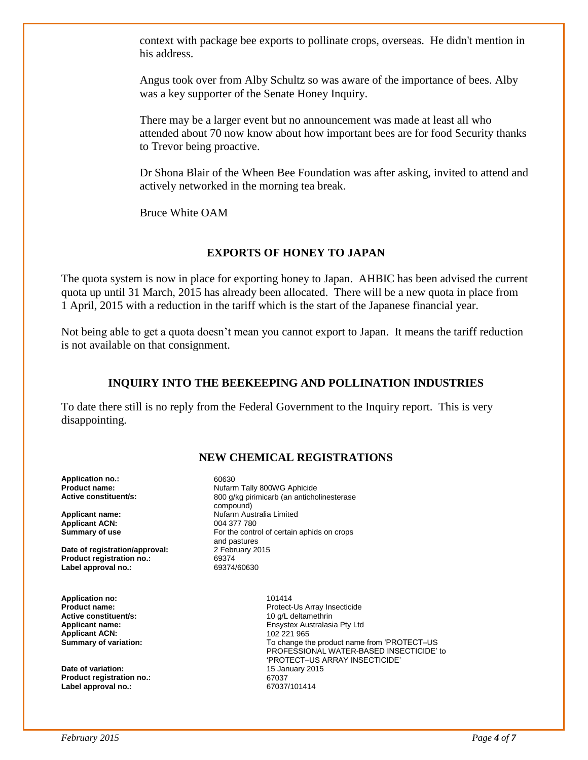context with package bee exports to pollinate crops, overseas. He didn't mention in his address.

Angus took over from Alby Schultz so was aware of the importance of bees. Alby was a key supporter of the Senate Honey Inquiry.

There may be a larger event but no announcement was made at least all who attended about 70 now know about how important bees are for food Security thanks to Trevor being proactive.

Dr Shona Blair of the Wheen Bee Foundation was after asking, invited to attend and actively networked in the morning tea break.

Bruce White OAM

#### **EXPORTS OF HONEY TO JAPAN**

The quota system is now in place for exporting honey to Japan. AHBIC has been advised the current quota up until 31 March, 2015 has already been allocated. There will be a new quota in place from 1 April, 2015 with a reduction in the tariff which is the start of the Japanese financial year.

Not being able to get a quota doesn't mean you cannot export to Japan. It means the tariff reduction is not available on that consignment.

#### **INQUIRY INTO THE BEEKEEPING AND POLLINATION INDUSTRIES**

To date there still is no reply from the Federal Government to the Inquiry report. This is very disappointing.

#### **NEW CHEMICAL REGISTRATIONS**

**Application no.:** 60630<br>**Product name:** Nufam

**Applicant ACN:** 004 377 780<br> **Summary of use** For the contr

**Date of registration/approval:** 2 February 2015 **Product registration no.:** 69374<br> **Label approval no.:** 69374/60630 Label approval no.:

**Application no:**  $101414$ <br>**Product name:** Protect-**Active constituent/s: Applicant ACN:**<br>Summary of variation:

**Date of variation: Product registration no.:** 67037<br>
Label approval no.: 67037/101414 **Label approval no.:** 

**Nufarm Tally 800WG Aphicide Active constituent/s:** 800 g/kg pirimicarb (an anticholinesterase compound) **Applicant name: Nufarm Australia Limited** For the control of certain aphids on crops and pastures

Protect-Us Array Insecticide<br>10 g/L deltamethrin **Applicant name:** Ensystex Australasia Pty Ltd To change the product name from 'PROTECT-US PROFESSIONAL WATER-BASED INSECTICIDE' to 'PROTECT–US ARRAY INSECTICIDE'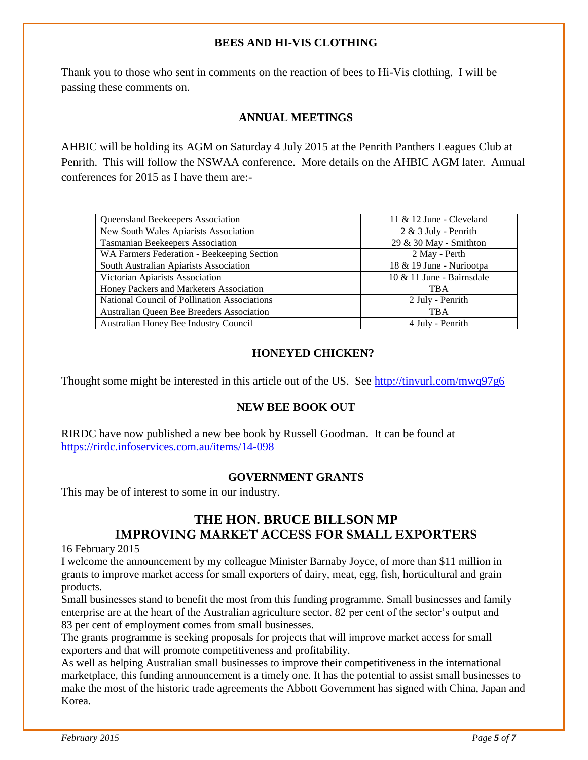#### **BEES AND HI-VIS CLOTHING**

Thank you to those who sent in comments on the reaction of bees to Hi-Vis clothing. I will be passing these comments on.

#### **ANNUAL MEETINGS**

AHBIC will be holding its AGM on Saturday 4 July 2015 at the Penrith Panthers Leagues Club at Penrith. This will follow the NSWAA conference. More details on the AHBIC AGM later. Annual conferences for 2015 as I have them are:-

| Queensland Beekeepers Association            | 11 & 12 June - Cleveland     |  |  |
|----------------------------------------------|------------------------------|--|--|
| New South Wales Apiarists Association        | $2 & 3$ July - Penrith       |  |  |
| Tasmanian Beekeepers Association             | 29 & 30 May - Smithton       |  |  |
| WA Farmers Federation - Beekeeping Section   | 2 May - Perth                |  |  |
| South Australian Apiarists Association       | 18 & 19 June - Nuriootpa     |  |  |
| Victorian Apiarists Association              | $10 \& 11$ June - Bairnsdale |  |  |
| Honey Packers and Marketers Association      | <b>TBA</b>                   |  |  |
| National Council of Pollination Associations | 2 July - Penrith             |  |  |
| Australian Queen Bee Breeders Association    | <b>TBA</b>                   |  |  |
| Australian Honey Bee Industry Council        | 4 July - Penrith             |  |  |

#### **HONEYED CHICKEN?**

Thought some might be interested in this article out of the US. See<http://tinyurl.com/mwq97g6>

#### **NEW BEE BOOK OUT**

RIRDC have now published a new bee book by Russell Goodman. It can be found at <https://rirdc.infoservices.com.au/items/14-098>

#### **GOVERNMENT GRANTS**

This may be of interest to some in our industry.

#### **THE HON. BRUCE BILLSON MP IMPROVING MARKET ACCESS FOR SMALL EXPORTERS**

16 February 2015

I welcome the announcement by my colleague Minister Barnaby Joyce, of more than \$11 million in grants to improve market access for small exporters of dairy, meat, egg, fish, horticultural and grain products.

Small businesses stand to benefit the most from this funding programme. Small businesses and family enterprise are at the heart of the Australian agriculture sector. 82 per cent of the sector's output and 83 per cent of employment comes from small businesses.

The grants programme is seeking proposals for projects that will improve market access for small exporters and that will promote competitiveness and profitability.

As well as helping Australian small businesses to improve their competitiveness in the international marketplace, this funding announcement is a timely one. It has the potential to assist small businesses to make the most of the historic trade agreements the Abbott Government has signed with China, Japan and Korea.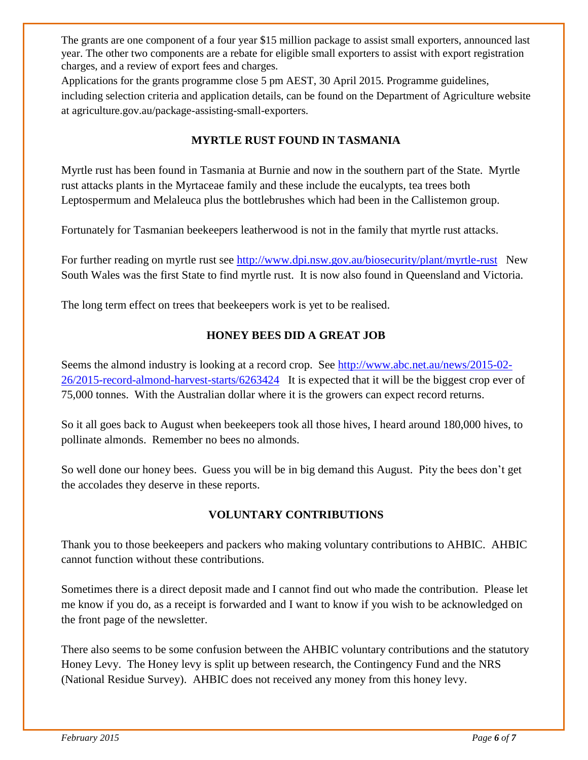The grants are one component of a four year \$15 million package to assist small exporters, announced last year. The other two components are a rebate for eligible small exporters to assist with export registration charges, and a review of export fees and charges.

Applications for the grants programme close 5 pm AEST, 30 April 2015. Programme guidelines, including selection criteria and application details, can be found on the Department of Agriculture website at agriculture.gov.au/package-assisting-small-exporters.

#### **MYRTLE RUST FOUND IN TASMANIA**

Myrtle rust has been found in Tasmania at Burnie and now in the southern part of the State. Myrtle rust attacks plants in the Myrtaceae family and these include the eucalypts, tea trees both Leptospermum and Melaleuca plus the bottlebrushes which had been in the Callistemon group.

Fortunately for Tasmanian beekeepers leatherwood is not in the family that myrtle rust attacks.

For further reading on myrtle rust see<http://www.dpi.nsw.gov.au/biosecurity/plant/myrtle-rust>New South Wales was the first State to find myrtle rust. It is now also found in Queensland and Victoria.

The long term effect on trees that beekeepers work is yet to be realised.

#### **HONEY BEES DID A GREAT JOB**

Seems the almond industry is looking at a record crop. See [http://www.abc.net.au/news/2015-02-](http://www.abc.net.au/news/2015-02-26/2015-record-almond-harvest-starts/6263424) [26/2015-record-almond-harvest-starts/6263424](http://www.abc.net.au/news/2015-02-26/2015-record-almond-harvest-starts/6263424) It is expected that it will be the biggest crop ever of 75,000 tonnes. With the Australian dollar where it is the growers can expect record returns.

So it all goes back to August when beekeepers took all those hives, I heard around 180,000 hives, to pollinate almonds. Remember no bees no almonds.

So well done our honey bees. Guess you will be in big demand this August. Pity the bees don't get the accolades they deserve in these reports.

#### **VOLUNTARY CONTRIBUTIONS**

Thank you to those beekeepers and packers who making voluntary contributions to AHBIC. AHBIC cannot function without these contributions.

Sometimes there is a direct deposit made and I cannot find out who made the contribution. Please let me know if you do, as a receipt is forwarded and I want to know if you wish to be acknowledged on the front page of the newsletter.

There also seems to be some confusion between the AHBIC voluntary contributions and the statutory Honey Levy. The Honey levy is split up between research, the Contingency Fund and the NRS (National Residue Survey). AHBIC does not received any money from this honey levy.